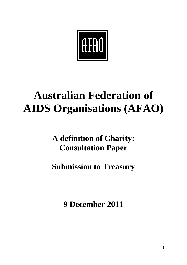

# **Australian Federation of AIDS Organisations (AFAO)**

# **A definition of Charity: Consultation Paper**

**Submission to Treasury**

**9 December 2011**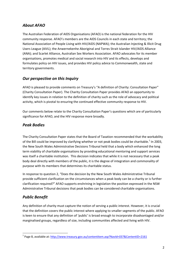# *About AFAO*

The Australian Federation of AIDS Organisations (AFAO) is the national federation for the HIV community response. AFAO's members are the AIDS Councils in each state and territory; the National Association of People Living with HIV/AIDS (NAPWA); the Australian Injecting & Illicit Drug Users League (AIVL); the Anwernekenhe Aboriginal and Torres Strait Islander HIV/AIDS Alliance (ANA); and Scarlet Alliance, Australian Sex Workers Association. AFAO advocates for its member organisations, promotes medical and social research into HIV and its effects, develops and formulates policy on HIV issues, and provides HIV policy advice to Commonwealth, state and territory governments.

## *Our perspective on this Inquiry*

AFAO is pleased to provide comments on Treasury's "A definition of Charity: Consultation Paper" (Charity Consultation Paper). The Charity Consultation Paper provides AFAO an opportunity to identify key issues in relation to the definition of charity such as the role of advocacy and political activity, which is pivotal to ensuring the continued effective community response to HIV.

Our comments below relate to the Charity Consultation Paper's questions which are of particularly significance for AFAO, and the HIV response more broadly.

#### *Peak Bodies*

The Charity Consultation Paper states that the Board of Taxation recommended that the workability of the Bill could be improved by clarifying whether or not peak bodies could be charitable.<sup>1</sup> In 2003, the New South Wales Administrative Decisions Tribunal held that a body which enhanced the long term viability of charitable organisations by providing educational mentoring and support services was itself a charitable institution. This decision indicates that while it is not necessary that a peak body deal directly with members of the public, it is the degree of integration and commonality of purpose with its members that determines its charitable status.

In response to question 2, "Does the decision by the New South Wales Administrative Tribunal provide sufficient clarification on the circumstances when a peak body can be a charity or is further clarification required?" AFAO supports enshrining in legislation the position expressed in the NSW Administrative Tribunal decisions that peak bodies can be considered charitable organisations.

## *Public Benefit*

1

Any definition of charity must capture the notion of serving a public interest. However, it is crucial that the definition covers the public interest where applying to smaller segments of the public. AFAO is keen to ensure that any definition of 'public' is broad enough to incorporate disadvantaged and/or marginalised groups, regardless of size, including communities affected and living with HIV.

<sup>&</sup>lt;sup>1</sup> Page 8, available at[: http://www.treasury.gov.au/contentitem.asp?NavId=037&ContentID=2161](http://www.treasury.gov.au/contentitem.asp?NavId=037&ContentID=2161)